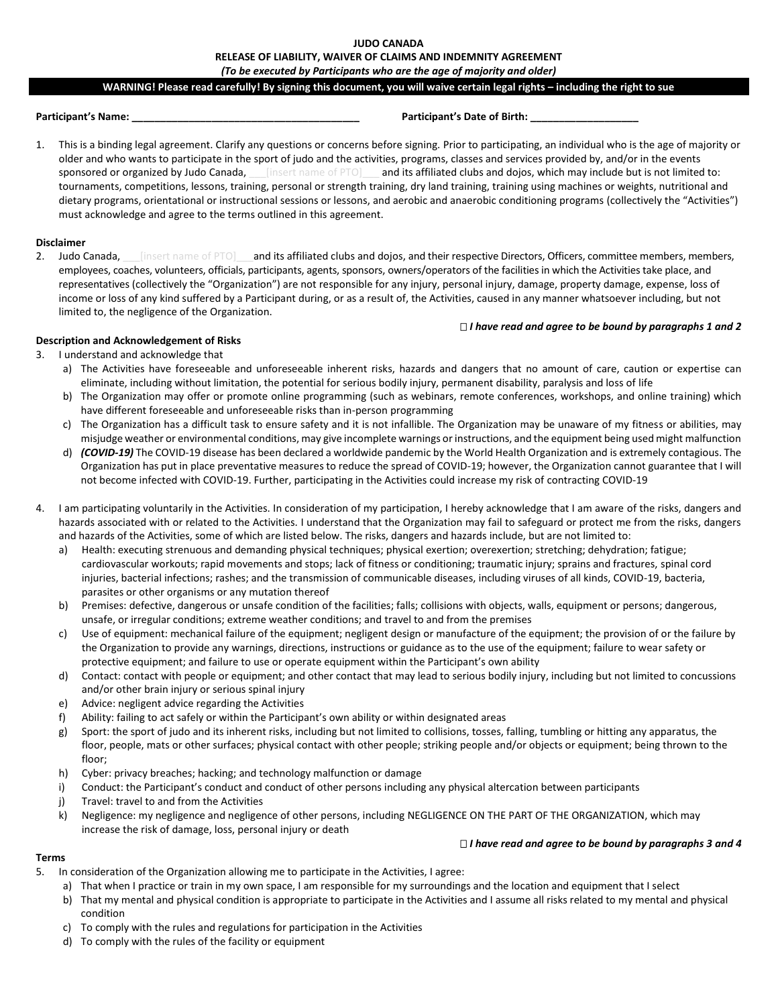# **JUDO CANADA RELEASE OF LIABILITY, WAIVER OF CLAIMS AND INDEMNITY AGREEMENT** *(To be executed by Participants who are the age of majority and older)*

#### **WARNING! Please read carefully! By signing this document, you will waive certain legal rights – including the right to sue**

## **Participant's Name: \_\_\_\_\_\_\_\_\_\_\_\_\_\_\_\_\_\_\_\_\_\_\_\_\_\_\_\_\_\_\_\_\_\_\_\_\_\_\_\_ Participant's Date of Birth: \_\_\_\_\_\_\_\_\_\_\_\_\_\_\_\_\_\_\_**

1. This is a binding legal agreement. Clarify any questions or concerns before signing. Prior to participating, an individual who is the age of majority or older and who wants to participate in the sport of judo and the activities, programs, classes and services provided by, and/or in the events sponsored or organized by Judo Canada, *\_\_\_\_[insert name of PTO]*\_\_\_ and its affiliated clubs and dojos, which may include but is not limited to: tournaments, competitions, lessons, training, personal or strength training, dry land training, training using machines or weights, nutritional and dietary programs, orientational or instructional sessions or lessons, and aerobic and anaerobic conditioning programs (collectively the "Activities") must acknowledge and agree to the terms outlined in this agreement.

#### **Disclaimer**

2. Judo Canada, *[insert name of PTO]* and its affiliated clubs and dojos, and their respective Directors, Officers, committee members, members, employees, coaches, volunteers, officials, participants, agents, sponsors, owners/operators of the facilities in which the Activities take place, and representatives (collectively the "Organization") are not responsible for any injury, personal injury, damage, property damage, expense, loss of income or loss of any kind suffered by a Participant during, or as a result of, the Activities, caused in any manner whatsoever including, but not limited to, the negligence of the Organization.

#### *I have read and agree to be bound by paragraphs 1 and 2*

# **Description and Acknowledgement of Risks**

- 3. I understand and acknowledge that a) The Activities have foreseeable and unforeseeable inherent risks, hazards and dangers that no amount of care, caution or expertise can
	- eliminate, including without limitation, the potential for serious bodily injury, permanent disability, paralysis and loss of life b) The Organization may offer or promote online programming (such as webinars, remote conferences, workshops, and online training) which have different foreseeable and unforeseeable risks than in-person programming
	- c) The Organization has a difficult task to ensure safety and it is not infallible. The Organization may be unaware of my fitness or abilities, may misjudge weather or environmental conditions, may give incomplete warnings or instructions, and the equipment being used might malfunction
	- d) *(COVID-19)* The COVID-19 disease has been declared a worldwide pandemic by the World Health Organization and is extremely contagious. The Organization has put in place preventative measures to reduce the spread of COVID-19; however, the Organization cannot guarantee that I will not become infected with COVID-19. Further, participating in the Activities could increase my risk of contracting COVID-19
- 4. I am participating voluntarily in the Activities. In consideration of my participation, I hereby acknowledge that I am aware of the risks, dangers and hazards associated with or related to the Activities. I understand that the Organization may fail to safeguard or protect me from the risks, dangers and hazards of the Activities, some of which are listed below. The risks, dangers and hazards include, but are not limited to:
	- a) Health: executing strenuous and demanding physical techniques; physical exertion; overexertion; stretching; dehydration; fatigue; cardiovascular workouts; rapid movements and stops; lack of fitness or conditioning; traumatic injury; sprains and fractures, spinal cord injuries, bacterial infections; rashes; and the transmission of communicable diseases, including viruses of all kinds, COVID-19, bacteria, parasites or other organisms or any mutation thereof
	- b) Premises: defective, dangerous or unsafe condition of the facilities; falls; collisions with objects, walls, equipment or persons; dangerous, unsafe, or irregular conditions; extreme weather conditions; and travel to and from the premises
	- c) Use of equipment: mechanical failure of the equipment; negligent design or manufacture of the equipment; the provision of or the failure by the Organization to provide any warnings, directions, instructions or guidance as to the use of the equipment; failure to wear safety or protective equipment; and failure to use or operate equipment within the Participant's own ability
	- d) Contact: contact with people or equipment; and other contact that may lead to serious bodily injury, including but not limited to concussions and/or other brain injury or serious spinal injury
	- e) Advice: negligent advice regarding the Activities
	- f) Ability: failing to act safely or within the Participant's own ability or within designated areas
	- g) Sport: the sport of judo and its inherent risks, including but not limited to collisions, tosses, falling, tumbling or hitting any apparatus, the floor, people, mats or other surfaces; physical contact with other people; striking people and/or objects or equipment; being thrown to the floor;
	- h) Cyber: privacy breaches; hacking; and technology malfunction or damage
	- i) Conduct: the Participant's conduct and conduct of other persons including any physical altercation between participants
	- j) Travel: travel to and from the Activities
	- k) Negligence: my negligence and negligence of other persons, including NEGLIGENCE ON THE PART OF THE ORGANIZATION, which may increase the risk of damage, loss, personal injury or death

# *I have read and agree to be bound by paragraphs 3 and 4*

# **Terms**

- 5. In consideration of the Organization allowing me to participate in the Activities, I agree:
	- a) That when I practice or train in my own space, I am responsible for my surroundings and the location and equipment that I select
	- b) That my mental and physical condition is appropriate to participate in the Activities and I assume all risks related to my mental and physical condition
	- c) To comply with the rules and regulations for participation in the Activities
	- d) To comply with the rules of the facility or equipment